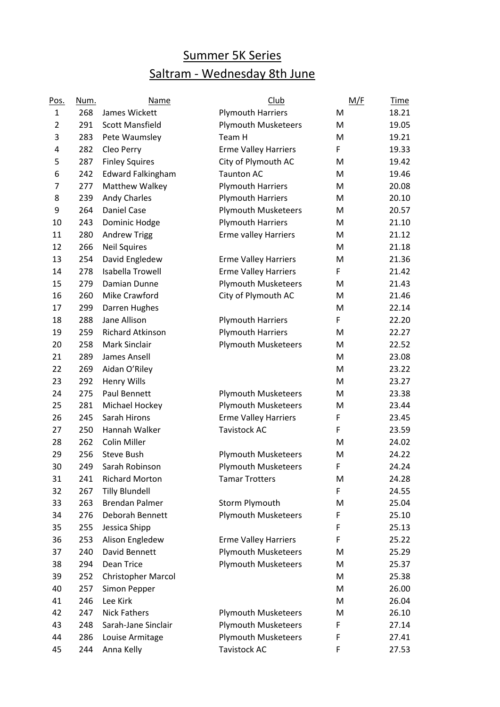## Summer 5K Series Saltram - Wednesday 8th June

| Pos.           | Num. | Name                     | <b>Club</b>                 | M/F | <b>Time</b> |
|----------------|------|--------------------------|-----------------------------|-----|-------------|
| 1              | 268  | James Wickett            | <b>Plymouth Harriers</b>    | M   | 18.21       |
| $\overline{2}$ | 291  | <b>Scott Mansfield</b>   | <b>Plymouth Musketeers</b>  | M   | 19.05       |
| 3              | 283  | Pete Waumsley            | Team H                      | M   | 19.21       |
| 4              | 282  | Cleo Perry               | <b>Erme Valley Harriers</b> | F   | 19.33       |
| 5              | 287  | <b>Finley Squires</b>    | City of Plymouth AC         | М   | 19.42       |
| 6              | 242  | <b>Edward Falkingham</b> | <b>Taunton AC</b>           | M   | 19.46       |
| 7              | 277  | Matthew Walkey           | <b>Plymouth Harriers</b>    | M   | 20.08       |
| 8              | 239  | <b>Andy Charles</b>      | <b>Plymouth Harriers</b>    | M   | 20.10       |
| 9              | 264  | Daniel Case              | <b>Plymouth Musketeers</b>  | M   | 20.57       |
| 10             | 243  | Dominic Hodge            | <b>Plymouth Harriers</b>    | M   | 21.10       |
| 11             | 280  | <b>Andrew Trigg</b>      | Erme valley Harriers        | M   | 21.12       |
| 12             | 266  | <b>Neil Squires</b>      |                             | M   | 21.18       |
| 13             | 254  | David Engledew           | <b>Erme Valley Harriers</b> | M   | 21.36       |
| 14             | 278  | <b>Isabella Trowell</b>  | <b>Erme Valley Harriers</b> | F   | 21.42       |
| 15             | 279  | Damian Dunne             | <b>Plymouth Musketeers</b>  | M   | 21.43       |
| 16             | 260  | Mike Crawford            | City of Plymouth AC         | M   | 21.46       |
| 17             | 299  | Darren Hughes            |                             | M   | 22.14       |
| 18             | 288  | Jane Allison             | <b>Plymouth Harriers</b>    | F   | 22.20       |
| 19             | 259  | <b>Richard Atkinson</b>  | <b>Plymouth Harriers</b>    | M   | 22.27       |
| 20             | 258  | Mark Sinclair            | <b>Plymouth Musketeers</b>  | M   | 22.52       |
| 21             | 289  | James Ansell             |                             | M   | 23.08       |
| 22             | 269  | Aidan O'Riley            |                             | M   | 23.22       |
| 23             | 292  | Henry Wills              |                             | M   | 23.27       |
| 24             | 275  | Paul Bennett             | <b>Plymouth Musketeers</b>  | M   | 23.38       |
| 25             | 281  | Michael Hockey           | <b>Plymouth Musketeers</b>  | M   | 23.44       |
| 26             | 245  | Sarah Hirons             | <b>Erme Valley Harriers</b> | F   | 23.45       |
| 27             | 250  | Hannah Walker            | <b>Tavistock AC</b>         | F   | 23.59       |
| 28             | 262  | <b>Colin Miller</b>      |                             | M   | 24.02       |
| 29             | 256  | <b>Steve Bush</b>        | <b>Plymouth Musketeers</b>  | M   | 24.22       |
| 30             | 249  | Sarah Robinson           | <b>Plymouth Musketeers</b>  | F   | 24.24       |
| 31             | 241  | <b>Richard Morton</b>    | <b>Tamar Trotters</b>       | M   | 24.28       |
| 32             | 267  | <b>Tilly Blundell</b>    |                             | F   | 24.55       |
| 33             | 263  | <b>Brendan Palmer</b>    | Storm Plymouth              | M   | 25.04       |
| 34             | 276  | Deborah Bennett          | <b>Plymouth Musketeers</b>  | F   | 25.10       |
| 35             | 255  | Jessica Shipp            |                             | F   | 25.13       |
| 36             | 253  | Alison Engledew          | <b>Erme Valley Harriers</b> | F   | 25.22       |
| 37             | 240  | David Bennett            | <b>Plymouth Musketeers</b>  | M   | 25.29       |
| 38             | 294  | Dean Trice               | <b>Plymouth Musketeers</b>  | M   | 25.37       |
| 39             | 252  | Christopher Marcol       |                             | M   | 25.38       |
| 40             | 257  | Simon Pepper             |                             | M   | 26.00       |
| 41             | 246  | Lee Kirk                 |                             | М   | 26.04       |
| 42             | 247  | <b>Nick Fathers</b>      | <b>Plymouth Musketeers</b>  | M   | 26.10       |
| 43             | 248  | Sarah-Jane Sinclair      | <b>Plymouth Musketeers</b>  | F   | 27.14       |
| 44             | 286  | Louise Armitage          | <b>Plymouth Musketeers</b>  | F   | 27.41       |
| 45             | 244  | Anna Kelly               | Tavistock AC                | F   | 27.53       |